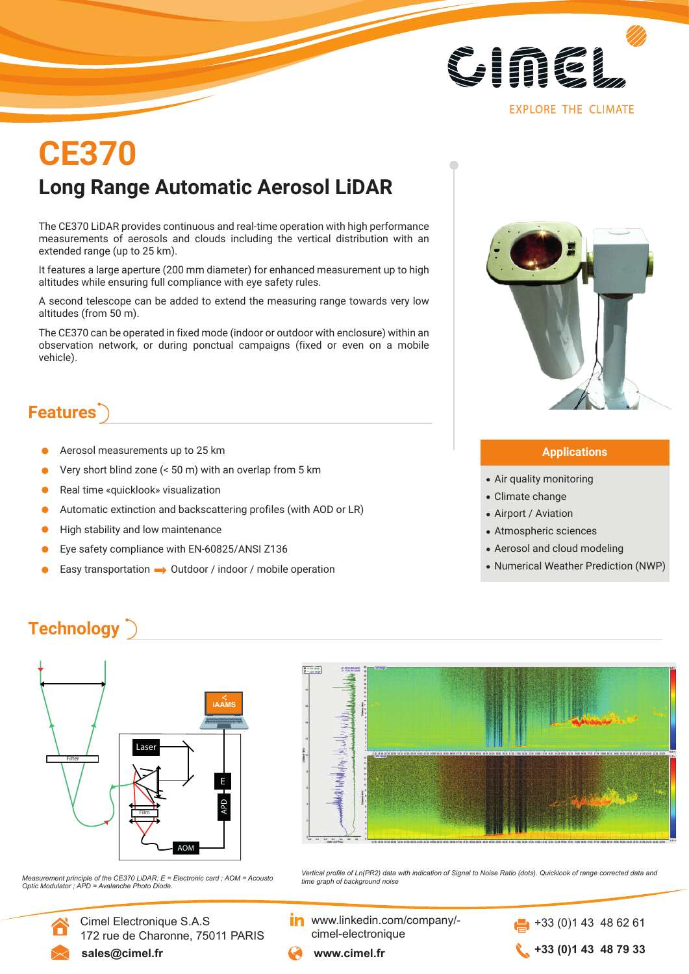

# **Long Range Automatic Aerosol LiDAR CE370**

The CE370 LiDAR provides continuous and real-time operation with high performance measurements of aerosols and clouds including the vertical distribution with an extended range (up to 25 km).

It features a large aperture (200 mm diameter) for enhanced measurement up to high altitudes while ensuring full compliance with eye safety rules.

A second telescope can be added to extend the measuring range towards very low altitudes (from 50 m).

The CE370 can be operated in fixed mode (indoor or outdoor with enclosure) within an observation network, or during ponctual campaigns (fixed or even on a mobile vehicle).

## **Features**

- Aerosol measurements up to 25 km
- Very short blind zone (< 50 m) with an overlap from 5 km
- Real time «quicklook» visualization
- Automatic extinction and backscattering profiles (with AOD or LR)
- High stability and low maintenance
- Eye safety compliance with EN-60825/ANSI Z136
- Easy transportation  $\rightarrow$  Outdoor / indoor / mobile operation



#### **Applications**

- Air quality monitoring
- Climate change
- Airport / Aviation
- Atmospheric sciences
- Aerosol and cloud modeling
- Numerical Weather Prediction (NWP)

## **Technology**





*time graph of background noise Measurement principle of the CE370 LiDAR: E = Electronic card ; AOM = Acousto Optic Modulator ; APD = Avalanche Photo Diode.*

Cimel Electronique S.A.S

172 rue de Charonne, 75011 PARIS

*Vertical profile of Ln(PR2) data with indication of Signal to Noise Ratio (dots). Quicklook of range corrected data and* 

www.linkedin.com/company/ cimel-electronique

 $+33(0)143486261$ **+33 (0)1 43 48 79 33**

**sales@cimel.fr www.cimel.fr**